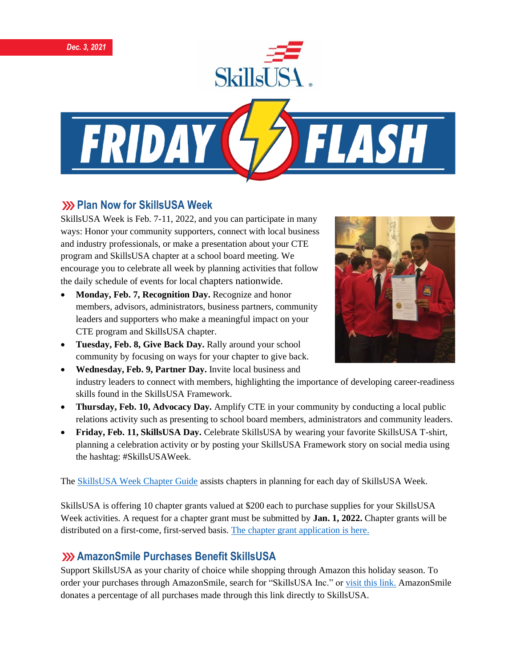





#### **222 Plan Now for SkillsUSA Week**

SkillsUSA Week is Feb. 7-11, 2022, and you can participate in many ways: Honor your community supporters, connect with local business and industry professionals, or make a presentation about your CTE program and SkillsUSA chapter at a school board meeting. We encourage you to celebrate all week by planning activities that follow the daily schedule of events for local chapters nationwide.

- **Monday, Feb. 7, Recognition Day.** Recognize and honor members, advisors, administrators, business partners, community leaders and supporters who make a meaningful impact on your CTE program and SkillsUSA chapter.
- **Tuesday, Feb. 8, Give Back Day.** Rally around your school community by focusing on ways for your chapter to give back.



- **Wednesday, Feb. 9, Partner Day.** Invite local business and industry leaders to connect with members, highlighting the importance of developing career-readiness skills found in the SkillsUSA Framework.
- **Thursday, Feb. 10, Advocacy Day.** Amplify CTE in your community by conducting a local public relations activity such as presenting to school board members, administrators and community leaders.
- **Friday, Feb. 11, SkillsUSA Day.** Celebrate SkillsUSA by wearing your favorite SkillsUSA T-shirt, planning a celebration activity or by posting your SkillsUSA Framework story on social media using the hashtag: #SkillsUSAWeek.

The [SkillsUSA Week Chapter Guide](https://www.skillsusa.org/events-training/skillsusa-week/) assists chapters in planning for each day of SkillsUSA Week.

SkillsUSA is offering 10 chapter grants valued at \$200 each to purchase supplies for your SkillsUSA Week activities. A request for a chapter grant must be submitted by **Jan. 1, 2022.** Chapter grants will be distributed on a first-come, first-served basis. [The chapter grant application is](https://www.skillsusa.org/events-training/skillsusa-week) here.

#### **AmazonSmile Purchases Benefit SkillsUSA**

Support SkillsUSA as your charity of choice while shopping through Amazon this holiday season. To order your purchases through AmazonSmile, search for "SkillsUSA Inc." or [visit this link.](https://smile.amazon.com/?_encoding=UTF8&_encoding=UTF8&ref_=smi_chpf_redirect) AmazonSmile donates a percentage of all purchases made through this link directly to SkillsUSA.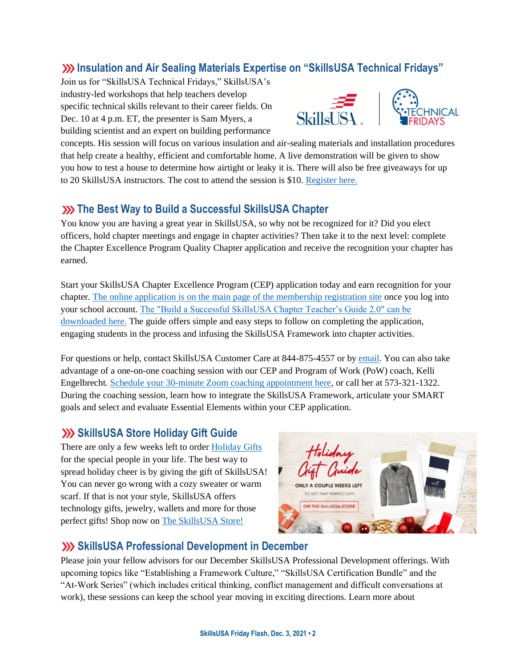### **Insulation and Air Sealing Materials Expertise on "SkillsUSA Technical Fridays"**

Join us for "SkillsUSA Technical Fridays," SkillsUSA's industry-led workshops that help teachers develop specific technical skills relevant to their career fields. On Dec. 10 at 4 p.m. ET, the presenter is Sam Myers, a building scientist and an expert on building performance



concepts. His session will focus on various insulation and air-sealing materials and installation procedures that help create a healthy, efficient and comfortable home. A live demonstration will be given to show you how to test a house to determine how airtight or leaky it is. There will also be free giveaways for up to 20 SkillsUSA instructors. The cost to attend the session is \$10. [Register here.](https://skillsusa.wufoo.com/forms/love-and-logic-and-technical-fridays-registration)

### **XX** The Best Way to Build a Successful SkillsUSA Chapter

You know you are having a great year in SkillsUSA, so why not be recognized for it? Did you elect officers, hold chapter meetings and engage in chapter activities? Then take it to the next level: complete the Chapter Excellence Program Quality Chapter application and receive the recognition your chapter has earned.

Start your SkillsUSA Chapter Excellence Program (CEP) application today and earn recognition for your chapter. [The online application is on the main page of the membership registration site](https://www.skillsusa-register.org/Login.aspx) once you log into your school account. [The "Build a Successful SkillsUSA Chapter Teacher's Guide 2.0" can be](https://www.skillsusa.org/programs/chapter-excellence-program/)  [downloaded here.](https://www.skillsusa.org/programs/chapter-excellence-program/) The guide offers simple and easy steps to follow on completing the application, engaging students in the process and infusing the SkillsUSA Framework into chapter activities.

For questions or help, contact SkillsUSA Customer Care at 844-875-4557 or b[y email.](mailto:customercare@skillsusa.org) You can also take advantage of a one-on-one coaching session with our CEP and Program of Work (PoW) coach, Kelli Engelbrecht[. Schedule your 30-minute Zoom coaching appointment here,](https://calendly.com/skillsusakelli) or call her at 573-321-1322. During the coaching session, learn how to integrate the SkillsUSA Framework, articulate your SMART goals and select and evaluate Essential Elements within your CEP application.

### **Solution Store Holiday Gift Guide**

There are only a few weeks left to order [Holiday Gifts](https://skillsusastore.mybrightsites.com/products?s%5Bf%5D%5Bc%5D%5B%5D=%2FGift+Collection) for the special people in your life. The best way to spread holiday cheer is by giving the gift of SkillsUSA! You can never go wrong with a cozy sweater or warm scarf. If that is not your style, SkillsUSA offers technology gifts, jewelry, wallets and more for those perfect gifts! Shop now on [The SkillsUSA Store!](https://skillsusastore.mybrightsites.com/products/716995)



# **SkillsUSA Professional Development in December**

Please join your fellow advisors for our December SkillsUSA Professional Development offerings. With upcoming topics like "Establishing a Framework Culture," "SkillsUSA Certification Bundle" and the "At-Work Series" (which includes critical thinking, conflict management and difficult conversations at work), these sessions can keep the school year moving in exciting directions. Learn more about